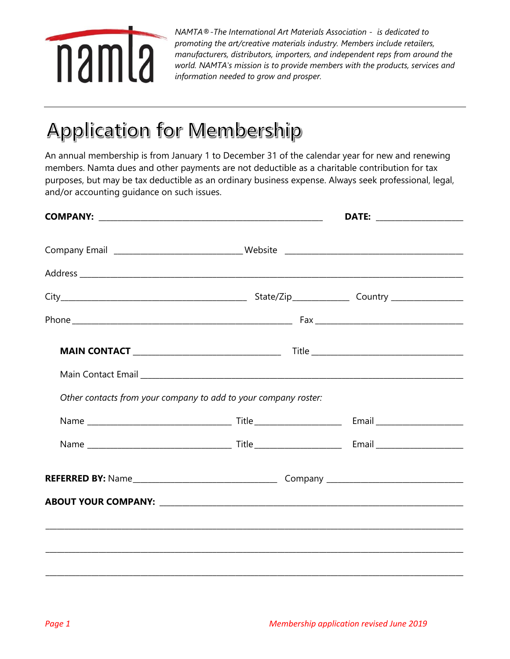

*NAMTA®-The International Art Materials Association - is dedicated to promoting the art/creative materials industry. Members include retailers, manufacturers, distributors, importers, and independent reps from around the world. NAMTA's mission is to provide members with the products, services and information needed to grow and prosper.*

## Application for Membership

An annual membership is from January 1 to December 31 of the calendar year for new and renewing members. Namta dues and other payments are not deductible as a charitable contribution for tax purposes, but may be tax deductible as an ordinary business expense. Always seek professional, legal, and/or accounting guidance on such issues.

|                                                                 | DATE: _________________ |  |
|-----------------------------------------------------------------|-------------------------|--|
|                                                                 |                         |  |
|                                                                 |                         |  |
|                                                                 |                         |  |
|                                                                 |                         |  |
|                                                                 |                         |  |
|                                                                 |                         |  |
| Other contacts from your company to add to your company roster: |                         |  |
|                                                                 |                         |  |
|                                                                 |                         |  |
|                                                                 |                         |  |
|                                                                 |                         |  |
|                                                                 |                         |  |
|                                                                 |                         |  |
|                                                                 |                         |  |
|                                                                 |                         |  |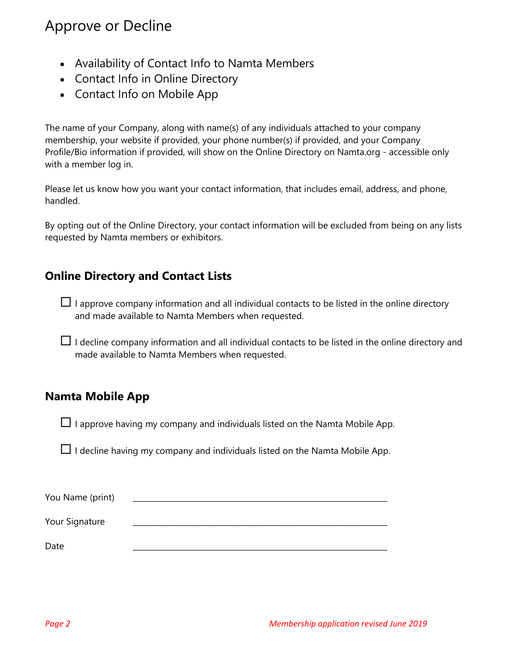#### Approve or Decline

- Availability of Contact Info to Namta Members
- Contact Info in Online Directory
- Contact Info on Mobile App

The name of your Company, along with name(s) of any individuals attached to your company membership, your website if provided, your phone number(s) if provided, and your Company Profile/Bio information if provided, will show on the Online Directory on Namta.org - accessible only with a member log in.

Please let us know how you want your contact information, that includes email, address, and phone, handled.

By opting out of the Online Directory, your contact information will be excluded from being on any lists requested by Namta members or exhibitors.

#### **Online Directory and Contact Lists**

 $\Box$  I approve company information and all individual contacts to be listed in the online directory and made available to Namta Members when requested.

 $\Box$  I decline company information and all individual contacts to be listed in the online directory and made available to Namta Members when requested.

#### **Namta Mobile App**

 $\Box$  I approve having my company and individuals listed on the Namta Mobile App.

 $\Box$  I decline having my company and individuals listed on the Namta Mobile App.

| You Name (print) |  |
|------------------|--|
| Your Signature   |  |
| Date             |  |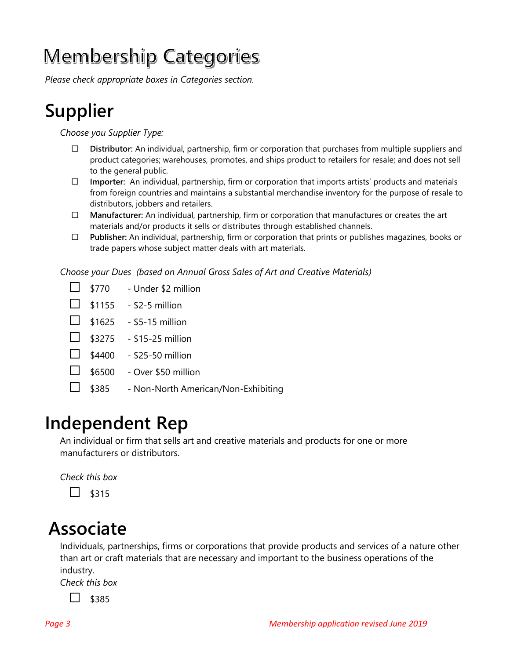# Membership Categories

*Please check appropriate boxes in Categories section.*

## **Supplier**

*Choose you Supplier Type:*

- ⃞ **Distributor:** An individual, partnership, firm or corporation that purchases from multiple suppliers and product categories; warehouses, promotes, and ships product to retailers for resale; and does not sell to the general public.
- $\Box$  **Importer:** An individual, partnership, firm or corporation that imports artists' products and materials from foreign countries and maintains a substantial merchandise inventory for the purpose of resale to distributors, jobbers and retailers.
- ⃞ **Manufacturer:** An individual, partnership, firm or corporation that manufactures or creates the art materials and/or products it sells or distributes through established channels.
- ⃞ **Publisher:** An individual, partnership, firm or corporation that prints or publishes magazines, books or trade papers whose subject matter deals with art materials.

*Choose your Dues (based on Annual Gross Sales of Art and Creative Materials)*

- $\Box$  \$770 Under \$2 million
- $\Box$  \$1155 \$2-5 million
- $\Box$  \$1625 \$5-15 million
- $\Box$  \$3275 \$15-25 million
- $\Box$  \$4400 \$25-50 million
- $\Box$  \$6500 Over \$50 million
- ⃞ \$385 Non-North American/Non-Exhibiting

### **Independent Rep**

An individual or firm that sells art and creative materials and products for one or more manufacturers or distributors.

*Check this box*

 $\Box$  \$315

### **Associate**

Individuals, partnerships, firms or corporations that provide products and services of a nature other than art or craft materials that are necessary and important to the business operations of the industry.

*Check this box*

 $\Box$  \$385